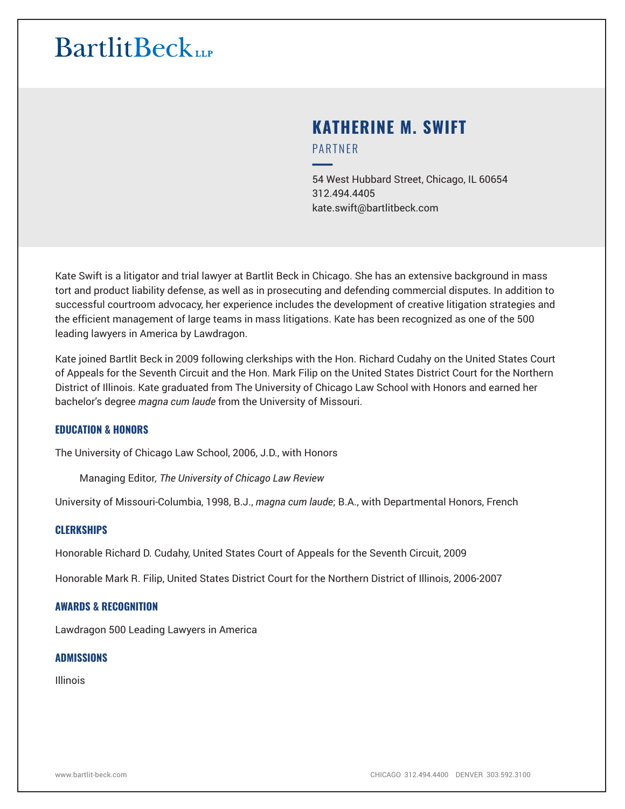# **KATHERINE M. SWIFT** PARTNER

━54 West Hubbard Street, Chicago, IL 60654 312.494.4405 kate.swift@bartlitbeck.com

Kate Swift is a litigator and trial lawyer at Bartlit Beck in Chicago. She has an extensive background in mass tort and product liability defense, as well as in prosecuting and defending commercial disputes. In addition to successful courtroom advocacy, her experience includes the development of creative litigation strategies and the efficient management of large teams in mass litigations. Kate has been recognized as one of the 500 leading lawyers in America by Lawdragon.

Kate joined Bartlit Beck in 2009 following clerkships with the Hon. Richard Cudahy on the United States Court of Appeals for the Seventh Circuit and the Hon. Mark Filip on the United States District Court for the Northern District of Illinois. Kate graduated from The University of Chicago Law School with Honors and earned her bachelor's degree *magna cum laude* from the University of Missouri.

#### **EDUCATION & HONORS**

The University of Chicago Law School, 2006, J.D., with Honors

Managing Editor*, The University of Chicago Law Review*

University of Missouri-Columbia, 1998, B.J., *magna cum laude*; B.A., with Departmental Honors, French

#### **CLERKSHIPS**

Honorable Richard D. Cudahy, United States Court of Appeals for the Seventh Circuit, 2009

Honorable Mark R. Filip, United States District Court for the Northern District of Illinois, 2006-2007

#### **AWARDS & RECOGNITION**

Lawdragon 500 Leading Lawyers in America

#### **ADMISSIONS**

Illinois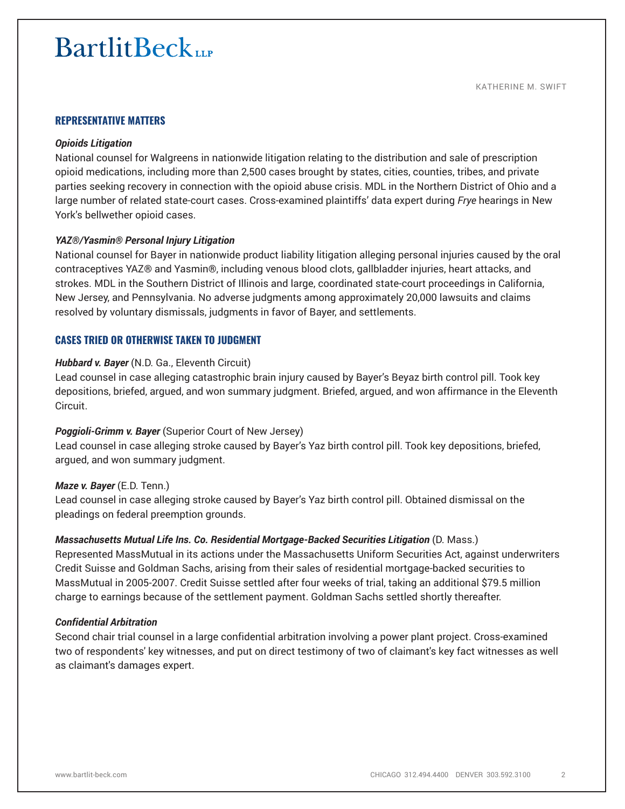#### **REPRESENTATIVE MATTERS**

#### *Opioids Litigation*

National counsel for Walgreens in nationwide litigation relating to the distribution and sale of prescription opioid medications, including more than 2,500 cases brought by states, cities, counties, tribes, and private parties seeking recovery in connection with the opioid abuse crisis. MDL in the Northern District of Ohio and a large number of related state-court cases. Cross-examined plaintiffs' data expert during *Frye* hearings in New York's bellwether opioid cases.

#### *YAZ®/Yasmin® Personal Injury Litigation*

National counsel for Bayer in nationwide product liability litigation alleging personal injuries caused by the oral contraceptives YAZ® and Yasmin®, including venous blood clots, gallbladder injuries, heart attacks, and strokes. MDL in the Southern District of Illinois and large, coordinated state-court proceedings in California, New Jersey, and Pennsylvania. No adverse judgments among approximately 20,000 lawsuits and claims resolved by voluntary dismissals, judgments in favor of Bayer, and settlements.

#### **CASES TRIED OR OTHERWISE TAKEN TO JUDGMENT**

#### *Hubbard v. Bayer* (N.D. Ga., Eleventh Circuit)

Lead counsel in case alleging catastrophic brain injury caused by Bayer's Beyaz birth control pill. Took key depositions, briefed, argued, and won summary judgment. Briefed, argued, and won affirmance in the Eleventh Circuit.

#### *Poggioli-Grimm v. Bayer* (Superior Court of New Jersey)

Lead counsel in case alleging stroke caused by Bayer's Yaz birth control pill. Took key depositions, briefed, argued, and won summary judgment.

#### *Maze v. Bayer* (E.D. Tenn.)

Lead counsel in case alleging stroke caused by Bayer's Yaz birth control pill. Obtained dismissal on the pleadings on federal preemption grounds.

#### *Massachusetts Mutual Life Ins. Co. Residential Mortgage-Backed Securities Litigation* (D. Mass.)

Represented MassMutual in its actions under the Massachusetts Uniform Securities Act, against underwriters Credit Suisse and Goldman Sachs, arising from their sales of residential mortgage-backed securities to MassMutual in 2005-2007. Credit Suisse settled after four weeks of trial, taking an additional \$79.5 million charge to earnings because of the settlement payment. Goldman Sachs settled shortly thereafter.

#### *Confidential Arbitration*

Second chair trial counsel in a large confidential arbitration involving a power plant project. Cross-examined two of respondents' key witnesses, and put on direct testimony of two of claimant's key fact witnesses as well as claimant's damages expert.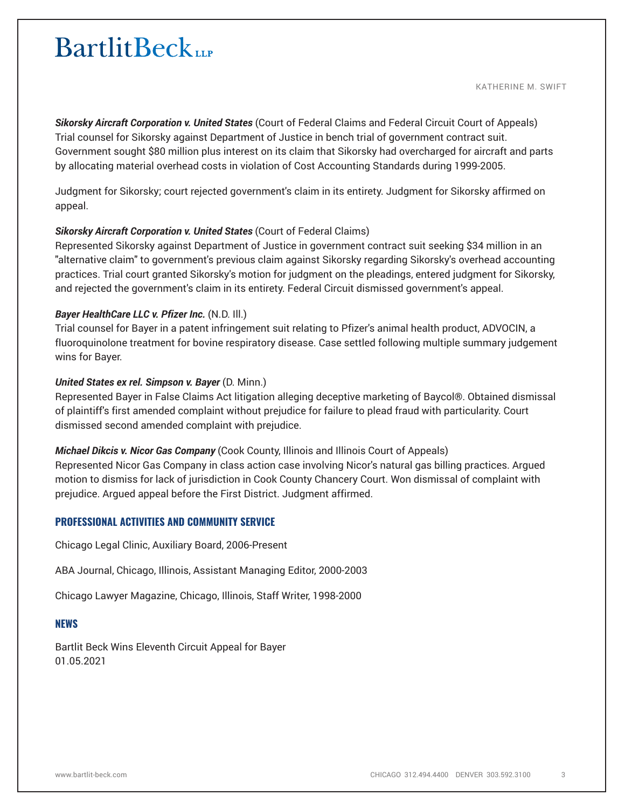KATHERINE M. SWIFT

*Sikorsky Aircraft Corporation v. United States* (Court of Federal Claims and Federal Circuit Court of Appeals) Trial counsel for Sikorsky against Department of Justice in bench trial of government contract suit. Government sought \$80 million plus interest on its claim that Sikorsky had overcharged for aircraft and parts by allocating material overhead costs in violation of Cost Accounting Standards during 1999-2005.

Judgment for Sikorsky; court rejected government's claim in its entirety. Judgment for Sikorsky affirmed on appeal.

### **Sikorsky Aircraft Corporation v. United States** (Court of Federal Claims)

Represented Sikorsky against Department of Justice in government contract suit seeking \$34 million in an "alternative claim" to government's previous claim against Sikorsky regarding Sikorsky's overhead accounting practices. Trial court granted Sikorsky's motion for judgment on the pleadings, entered judgment for Sikorsky, and rejected the government's claim in its entirety. Federal Circuit dismissed government's appeal.

## *Bayer HealthCare LLC v. Pfizer Inc.* (N.D. Ill.)

Trial counsel for Bayer in a patent infringement suit relating to Pfizer's animal health product, ADVOCIN, a fluoroquinolone treatment for bovine respiratory disease. Case settled following multiple summary judgement wins for Bayer.

## *United States ex rel. Simpson v. Bayer* (D. Minn.)

Represented Bayer in False Claims Act litigation alleging deceptive marketing of Baycol®. Obtained dismissal of plaintiff's first amended complaint without prejudice for failure to plead fraud with particularity. Court dismissed second amended complaint with prejudice.

*Michael Dikcis v. Nicor Gas Company* (Cook County, Illinois and Illinois Court of Appeals)

Represented Nicor Gas Company in class action case involving Nicor's natural gas billing practices. Argued motion to dismiss for lack of jurisdiction in Cook County Chancery Court. Won dismissal of complaint with prejudice. Argued appeal before the First District. Judgment affirmed.

## **PROFESSIONAL ACTIVITIES AND COMMUNITY SERVICE**

Chicago Legal Clinic, Auxiliary Board, 2006-Present

ABA Journal, Chicago, Illinois, Assistant Managing Editor, 2000-2003

Chicago Lawyer Magazine, Chicago, Illinois, Staff Writer, 1998-2000

#### **NEWS**

Bartlit Beck Wins Eleventh Circuit Appeal for Bayer 01.05.2021